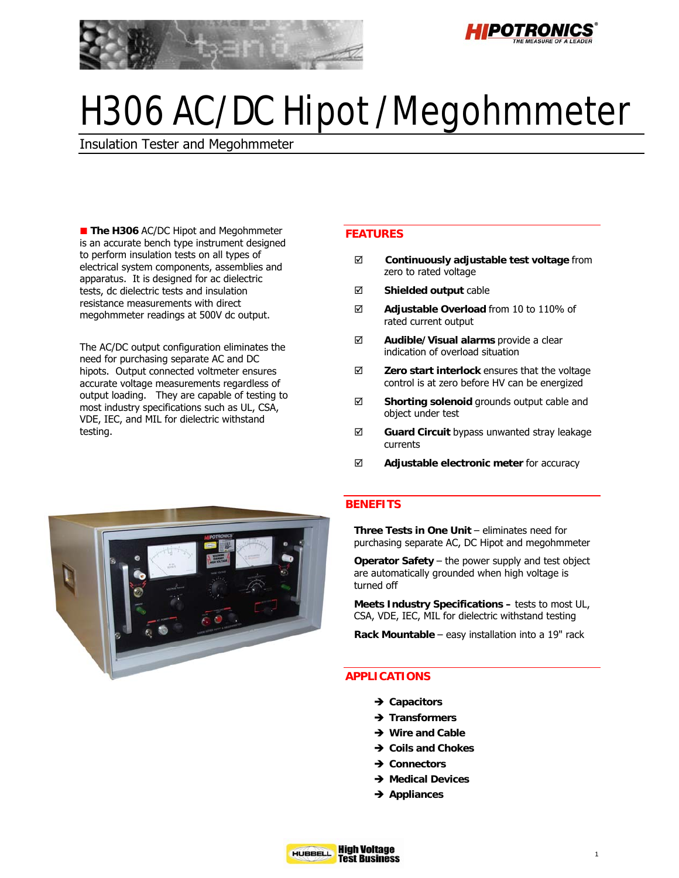



# H306 AC/DC Hipot /Megohmmeter

Insulation Tester and Megohmmeter

**The H306 AC/DC Hipot and Megohmmeter** is an accurate bench type instrument designed to perform insulation tests on all types of electrical system components, assemblies and apparatus. It is designed for ac dielectric tests, dc dielectric tests and insulation resistance measurements with direct megohmmeter readings at 500V dc output.

The AC/DC output configuration eliminates the need for purchasing separate AC and DC hipots. Output connected voltmeter ensures accurate voltage measurements regardless of output loading. They are capable of testing to most industry specifications such as UL, CSA, VDE, IEC, and MIL for dielectric withstand testing.

### **FEATURES**

- ; **Continuously adjustable test voltage** from zero to rated voltage
- ; **Shielded output** cable
- ; **Adjustable Overload** from 10 to 110% of rated current output
- ; **Audible/Visual alarms** provide a clear indication of overload situation
- $\boxtimes$  **Zero start interlock** ensures that the voltage control is at zero before HV can be energized
- ; **Shorting solenoid** grounds output cable and object under test
- **EX Guard Circuit** bypass unwanted stray leakage currents
- ; **Adjustable electronic meter** for accuracy



#### **BENEFITS**

**Three Tests in One Unit - eliminates need for** purchasing separate AC, DC Hipot and megohmmeter

**Operator Safety** – the power supply and test object are automatically grounded when high voltage is turned off

**Meets Industry Specifications –** tests to most UL, CSA, VDE, IEC, MIL for dielectric withstand testing

**Rack Mountable** – easy installation into a 19" rack

#### **APPLICATIONS**

- **→ Capacitors**
- $\rightarrow$  Transformers
- **→ Wire and Cable**
- **→ Coils and Chokes**
- **→ Connectors**
- **→ Medical Devices**
- $\rightarrow$  Appliances